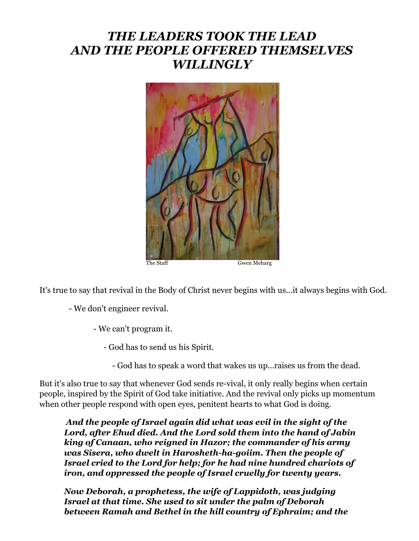# *THE LEADERS TOOK THE LEAD AND THE PEOPLE OFFERED THEMSELVES WILLINGLY*



It's true to say that revival in the Body of Christ never begins with us...it always begins with God.

- We don't engineer revival.

- We can't program it.

- God has to send us his Spirit.

- God has to speak a word that wakes us up...raises us from the dead.

But it's also true to say that whenever God sends re-vival, it only really begins when certain people, inspired by the Spirit of God take initiative. And the revival only picks up momentum when other people respond with open eyes, penitent hearts to what God is doing.

*And the people of Israel again did what was evil in the sight of the Lord, after Ehud died. And the Lord sold them into the hand of Jabin king of Canaan, who reigned in Hazor; the commander of his army was Sisera, who dwelt in Harosheth-ha-goiim. Then the people of Israel cried to the Lord for help; for he had nine hundred chariots of iron, and oppressed the people of Israel cruelly for twenty years.*

*Now Deborah, a prophetess, the wife of Lappidoth, was judging Israel at that time. She used to sit under the palm of Deborah between Ramah and Bethel in the hill country of Ephraim; and the*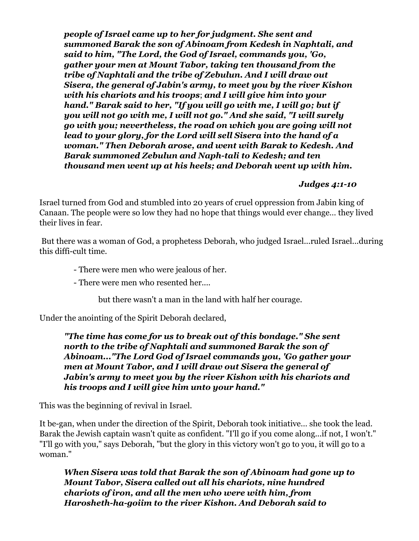*people of Israel came up to her for judgment. She sent and summoned Barak the son of Abinoam from Kedesh in Naphtali, and said to him, "The Lord, the God of Israel, commands you, 'Go, gather your men at Mount Tabor, taking ten thousand from the tribe of Naphtali and the tribe of Zebulun. And I will draw out Sisera, the general of Jabin's army, to meet you by the river Kishon with his chariots and his troops*; *and I will give him into your hand." Barak said to her, "If you will go with me, I will go; but if you will not go with me, I will not go." And she said, "I will surely go with you; nevertheless, the road on which you are going will not lead to your glory, for the Lord will sell Sisera into the hand of a woman." Then Deborah arose, and went with Barak to Kedesh. And Barak summoned Zebulun and Naph-tali to Kedesh; and ten thousand men went up at his heels; and Deborah went up with him.*

#### *Judges 4:1-10*

Israel turned from God and stumbled into 20 years of cruel oppression from Jabin king of Canaan. The people were so low they had no hope that things would ever change… they lived their lives in fear.

But there was a woman of God, a prophetess Deborah, who judged Israel...ruled Israel...during this diffi-cult time.

- There were men who were jealous of her.
- There were men who resented her....

but there wasn't a man in the land with half her courage.

Under the anointing of the Spirit Deborah declared,

*"The time has come for us to break out of this bondage." She sent north to the tribe of Naphtali and summoned Barak the son of Abinoam..."The Lord God of Israel commands you, 'Go gather your men at Mount Tabor, and I will draw out Sisera the general of Jabin's army to meet you by the river Kishon with his chariots and his troops and I will give him unto your hand."*

This was the beginning of revival in Israel.

It be-gan, when under the direction of the Spirit, Deborah took initiative... she took the lead. Barak the Jewish captain wasn't quite as confident. "I'll go if you come along...if not, I won't." "I'll go with you," says Deborah, "but the glory in this victory won't go to you, it will go to a woman."

*When Sisera was told that Barak the son of Abinoam had gone up to Mount Tabor, Sisera called out all his chariots, nine hundred chariots of iron, and all the men who were with him, from Harosheth-ha-goiim to the river Kishon. And Deborah said to*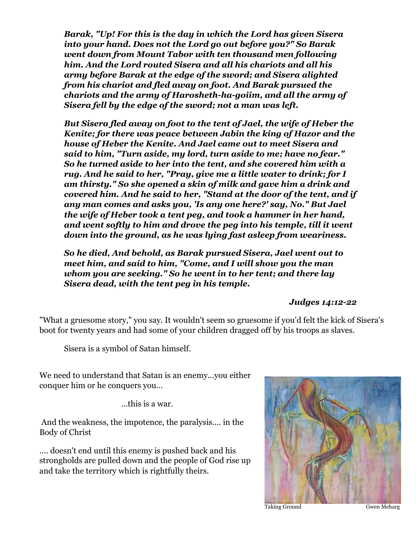*Barak, "Up! For this is the day in which the Lord has given Sisera into your hand. Does not the Lord go out before you?" So Barak went down from Mount Tabor with ten thousand men following him. And the Lord routed Sisera and all his chariots and all his army before Barak at the edge of the sword; and Sisera alighted from his chariot and fled away on foot. And Barak pursued the chariots and the army of Harosheth-ha-goiim, and all the army of Sisera fell by the edge of the sword; not a man was left.*

*But Sisera fled away on foot to the tent of Jael, the wife of Heber the Kenite; for there was peace between Jabin the king of Hazor and the house of Heber the Kenite. And Jael came out to meet Sisera and said to him, "Turn aside, my lord, turn aside to me; have no fear." So he turned aside to her into the tent, and she covered him with a rug. And he said to her, "Pray, give me a little water to drink; for I am thirsty." So she opened a skin of milk and gave him a drink and covered him. And he said to her, "Stand at the door of the tent, and if any man comes and asks you, 'Is any one here?' say, No." But Jael the wife of Heber took a tent peg, and took a hammer in her hand, and went softly to him and drove the peg into his temple, till it went down into the ground, as he was lying fast asleep from weariness.* 

*So he died, And behold, as Barak pursued Sisera, Jael went out to meet him, and said to him, "Come, and I will show you the man whom you are seeking." So he went in to her tent; and there lay Sisera dead, with the tent peg in his temple.*

#### *Judges 14:12-22*

"What a gruesome story," you say. It wouldn't seem so gruesome if you'd felt the kick of Sisera's boot for twenty years and had some of your children dragged off by his troops as slaves.

Sisera is a symbol of Satan himself.

We need to understand that Satan is an enemy...you either conquer him or he conquers you…

...this is a war.

And the weakness, the impotence, the paralysis…. in the Body of Christ

…. doesn't end until this enemy is pushed back and his strongholds are pulled down and the people of God rise up and take the territory which is rightfully theirs.



Taking Ground Gwen Meharg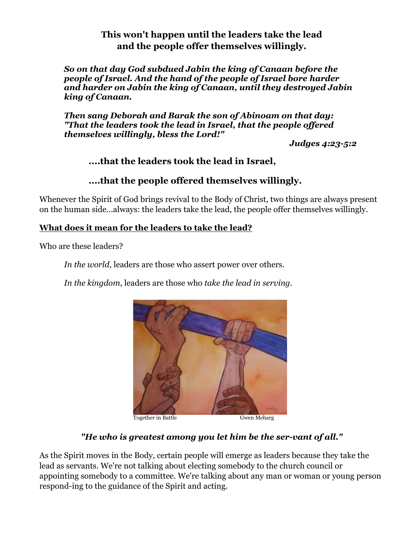### **This won't happen until the leaders take the lead and the people offer themselves willingly.**

*So on that day God subdued Jabin the king of Canaan before the people of Israel. And the hand of the people of Israel bore harder and harder on Jabin the king of Canaan, until they destroyed Jabin king of Canaan.*

*Then sang Deborah and Barak the son of Abinoam on that day: "That the leaders took the lead in Israel, that the people offered themselves willingly, bless the Lord!"*

*Judges 4:23-5:2*

## **....that the leaders took the lead in Israel,**

### **....that the people offered themselves willingly.**

Whenever the Spirit of God brings revival to the Body of Christ, two things are always present on the human side...always: the leaders take the lead, the people offer themselves willingly.

#### **What does it mean for the leaders to take the lead?**

Who are these leaders?

*In the world*, leaders are those who assert power over others.

*In the kingdom*, leaders are those who *take the lead in serving.* 



#### *"He who is greatest among you let him be the ser-vant of all."*

As the Spirit moves in the Body, certain people will emerge as leaders because they take the lead as servants. We're not talking about electing somebody to the church council or appointing somebody to a committee. We're talking about any man or woman or young person respond-ing to the guidance of the Spirit and acting.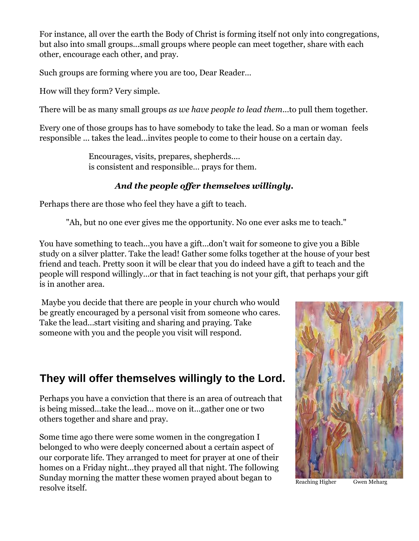For instance, all over the earth the Body of Christ is forming itself not only into congregations, but also into small groups...small groups where people can meet together, share with each other, encourage each other, and pray.

Such groups are forming where you are too, Dear Reader…

How will they form? Very simple.

There will be as many small groups *as we have people to lead them*...to pull them together.

Every one of those groups has to have somebody to take the lead. So a man or woman feels responsible ... takes the lead...invites people to come to their house on a certain day.

> Encourages, visits, prepares, shepherds.... is consistent and responsible… prays for them.

## *And the people offer themselves willingly.*

Perhaps there are those who feel they have a gift to teach.

"Ah, but no one ever gives me the opportunity. No one ever asks me to teach."

You have something to teach...you have a gift...don't wait for someone to give you a Bible study on a silver platter. Take the lead! Gather some folks together at the house of your best friend and teach. Pretty soon it will be clear that you do indeed have a gift to teach and the people will respond willingly...or that in fact teaching is not your gift, that perhaps your gift is in another area.

Maybe you decide that there are people in your church who would be greatly encouraged by a personal visit from someone who cares. Take the lead...start visiting and sharing and praying. Take someone with you and the people you visit will respond.

# **They will offer themselves willingly to the Lord.**

Perhaps you have a conviction that there is an area of outreach that is being missed...take the lead... move on it...gather one or two others together and share and pray.

Some time ago there were some women in the congregation I belonged to who were deeply concerned about a certain aspect of our corporate life. They arranged to meet for prayer at one of their homes on a Friday night...they prayed all that night. The following Sunday morning the matter these women prayed about began to resolve itself.



Reaching Higher Gwen Meharg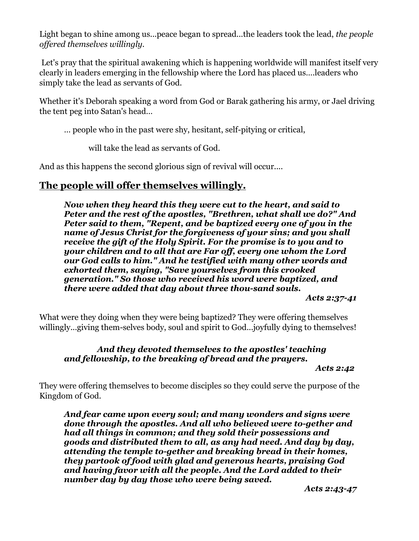Light began to shine among us...peace began to spread...the leaders took the lead, *the people offered themselves willingly.*

Let's pray that the spiritual awakening which is happening worldwide will manifest itself very clearly in leaders emerging in the fellowship where the Lord has placed us….leaders who simply take the lead as servants of God.

Whether it's Deborah speaking a word from God or Barak gathering his army, or Jael driving the tent peg into Satan's head…

… people who in the past were shy, hesitant, self-pitying or critical,

will take the lead as servants of God.

And as this happens the second glorious sign of revival will occur....

# **The people will offer themselves willingly.**

*Now when they heard this they were cut to the heart, and said to Peter and the rest of the apostles, "Brethren, what shall we do?" And Peter said to them, "Repent, and be baptized every one of you in the name of Jesus Christ for the forgiveness of your sins; and you shall receive the gift of the Holy Spirit. For the promise is to you and to your children and to all that are Far off, every one whom the Lord our God calls to him." And he testified with many other words and exhorted them, saying, "Save yourselves from this crooked generation." So those who received his word were baptized, and there were added that day about three thou-sand souls.* 

*Acts 2:37-41*

What were they doing when they were being baptized? They were offering themselves willingly...giving them-selves body, soul and spirit to God...joyfully dying to themselves!

#### *And they devoted themselves to the apostles' teaching and fellowship, to the breaking of bread and the prayers.*

*Acts 2:42*

They were offering themselves to become disciples so they could serve the purpose of the Kingdom of God.

*And fear came upon every soul; and many wonders and signs were done through the apostles. And all who believed were to-gether and had all things in common; and they sold their possessions and goods and distributed them to all, as any had need. And day by day, attending the temple to-gether and breaking bread in their homes, they partook of food with glad and generous hearts, praising God and having favor with all the people. And the Lord added to their number day by day those who were being saved.*

*Acts 2:43-47*